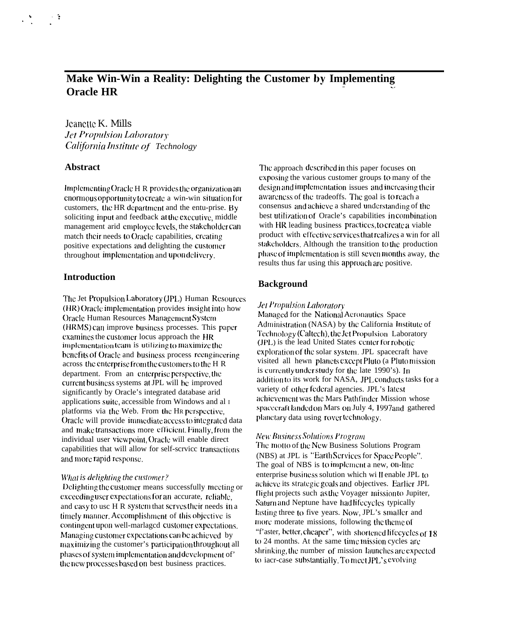# Make Win-Win a Reality: Delighting the Customer by Implementing **Oracle HR**

Jeanette K. Mills **Jet Propulsion Laboratory** California Institute of Technology

### **Abstract**

Implementing Oracle H R provides the organization an enormous opportunity to create a win-win situation for customers, the HR department and the entu-prise. By soliciting input and feedback at the executive, middle management arid employee levels, the stakeholder can match their needs to Oracle capabilities, creating positive expectations and delighting the customer throughout implementation and upon delivery.

### **Introduction**

The Jet Propulsion Laboratory (JPL) Human Resources (HR) Oracle implementation provides insight into how **Oracle Human Resources Management System** (HRMS) can improve business processes. This paper examines the customer locus approach the HR implementation team is utilizing to maximize the benefits of Oracle and business process reengineering across the enterprise from the customers to the H R department. From an enterprise perspective, the current business systems at JPL will be improved significantly by Oracle's integrated database arid applications suite, accessible from Windows and al I platforms via the Web. From the HR perspective. Oracle will provide immediate access to integrated data and make transactions more efficient. Finally, from the individual user viewpoint. Oracle will enable direct capabilities that will allow for self-scrvice transactions and more rapid response.

#### What is delighting the customer?

Delighting the customer means successfully meeting or exceeding user expectations for an accurate, reliable, and easy to use H R system that serves their needs in a timely manner. Accomplishment of this objective is contingent upon well-marlaged customer expectations. Managing customer expectations can be achieved by maximizing the customer's participation throughout all phases of system implementation and development of the new processes based on best business practices.

The approach described in this paper focuses on exposing the various customer groups to many of the design and implementation issues and increasing their awareness of the tradeoffs. The goal is to reach a consensus and achieve a shared understanding of the best utilization of Oracle's capabilities in combination with HR leading business practices, to create a viable product with effective services that realizes a win for all stakeholders, Although the transition to the production phase of implementation is still seven months away, the results thus far using this approach are positive.

### **Background**

### **Jet Propulsion Laboratory**

Managed for the National Aeronautics Space Administration (NASA) by the California Institute of Technology (Caltech), the Jet Propulsion Laboratory (JPL) is the lead United States center for robotic exploration of the solar system. JPL spacecraft have visited all hewn planets except Pluto (a Pluto mission is currently under study for the late 1990's). In addition to its work for NASA, JPL conducts tasks for a variety of other federal agencies. JPL's latest achievement was the Mars Pathfinder Mission whose spacecraft landed on Mars on July 4, 1997and gathered planetary data using rover technology.

#### **New Business Solutions Program**

The motto of the New Business Solutions Program (NBS) at JPL is "Earth Services for Space People". The goal of NBS is to implement a new, on-line enterprise business solution which will enable JPL to achieve its strategic goals and objectives. Earlier JPL flight projects such as the Voyager mission to Jupiter, Saturn and Neptune have had lifecycles typically lasting three to five years. Now, JPL's smaller and more moderate missions, following the theme of "f'aster, better, cheaper", with shortened lifecycles of 18 to 24 months. At the same time mission cycles are shrinking, the number of mission launches are expected to iacr-case substantially. To meet JPL's evolving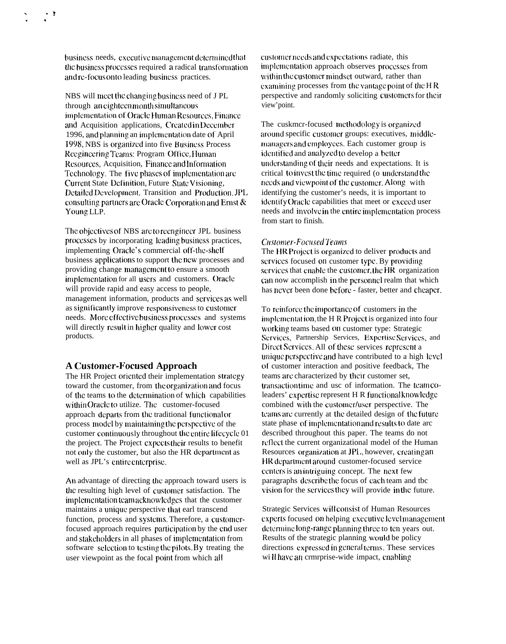business needs, executive management determined that the business processes required a radical transformation and re-focus onto leading business practices.

NBS will meet the changing business need of JPL through an eighteen month simultaneous implementation of Oracle Human Resources, Finance and Acquisition applications, Created in December 1996, and planning an implementation date of April 1998, NBS is organized into five Business Process Reegineering Teams: Program Office, Human Resources, Acquisition, Finance and Information Technology. The five phases of implementation are Current State Definition, Future State Visioning, Detailed Development, Transition and Production. JPL consulting partners are Oracle Corporation and Ernst & Young LLP.

The objectives of NBS are to reengineer JPL business processes by incorporating leading business practices, implementing Oracle's commercial off-the-shelf business applications to support the new processes and providing change management to ensure a smooth implementation for all users and customers. Oracle will provide rapid and easy access to people, management information, products and services as well as significantly improve responsiveness to customer needs. More effective business processes and systems will directly result in higher quality and lower cost products.

## **A Customer-Focused Approach**

The HR Project oriented their implementation strategy toward the customer, from the organization and focus of the teams to the determination of which capabilities within Oracle to utilize. The customer-focused approach departs from the traditional functional or process model by maintaining the perspective of the customer continuously throughout the entire lifecycle 01 the project. The Project expects their results to benefit not only the customer, but also the HR department as well as JPL's entire enterprise.

An advantage of directing the approach toward users is the resulting high level of customer satisfaction. The implementation team acknowledges that the customer maintains a unique perspective that earl transcend function, process and systems. Therefore, a customerfocused approach requires participation by the end user and stakeholders in all phases of implementation from software selection to testing the pilots. By treating the user viewpoint as the focal point from which all

customer needs and expectations radiate, this implementation approach observes processes from within the customer mindset outward, rather than examining processes from the vantage point of the HR perspective and randomly soliciting customers for their view'point.

The cuskmcr-focused methodology is organized around specific customer groups: executives, middlemanagers and employees. Each customer group is identified and analyzed to develop a better understanding of their needs and expectations. It is critical to invest the time required (o understand the needs and viewpoint of the customer. Along with identifying the customer's needs, it is important to identify Oracle capabilities that meet or exceed user needs and involve in the entire implementation process from start to finish.

#### **Customer-Focused Teams**

The HR Project is organized to deliver products and services focused on customer type. By providing services that enable the customer, the HR organization can now accomplish in the personnel realm that which has never been done before - faster, better and cheaper.

To reinforce the importance of customers in the implementation, the H R Project is organized into four working teams based on customer type: Strategic Services, Partnership Services, Expertise Services, and Direct Services. All of these services represent a unique perspective and have contributed to a high level of customer interaction and positive feedback, The teams are characterized by their customer set, transaction time and use of information. The team coleaders' expertise represent H R functional knowledge combined with the customer/user perspective. The teams are currently at the detailed design of the future state phase of implementation and results to date arc described throughout this paper. The teams do not reflect the current organizational model of the Human Resources organization at JPL, however, creating an HR department around customer-focused service centers is an intriguing concept. The next few paragraphs describe the focus of each team and tbc vision for the services they will provide in the future.

Strategic Services will consist of Human Resources experts focused on helping executive level management determine long-range planning three to ten years out. Results of the strategic planning would be policy directions expressed in general terms. These services will have an ermrprise-wide impact, enabling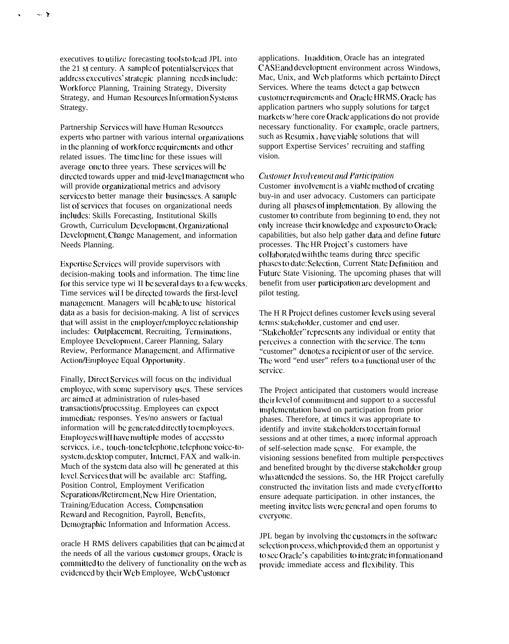executives to utilize forecasting tools to lead JPL into the 21 st century. A sample of potential services that address executives' strategic planning needs include: Workforce Planning, Training Strategy, Diversity Strategy, and Human Resources Information Systems Strategy.

 $\sim$   $\rightarrow$ 

Partnership Services will have Human Resources experts who partner with various internal organizations in the planning of workforce requirements and other related issues. The time line for these issues will average one to three years. These services will be directed towards upper and mid-level management who will provide organizational metrics and advisory services to better manage their businesses. A sample list of services that focuses on organizational needs includes: Skills Forecasting, Institutional Skills Growth, Curriculum Development, Organizational Development, Change Management, and information Needs Planning.

Expertise Services will provide supervisors with decision-making tools and information. The time line for this service type wi II be several days to a few weeks. Time services wil I be directed towards the first-level management. Managers will be able to use historical data as a basis for decision-making. A list of services that will assist in the employer/employee relationship includes: Outplacement, Recruiting, Terminations, Employee Development, Career Planning, Salary Review, Performance Management, and Affirmative Action/Employee Equal Opportunity.

Finally, Direct Services will focus on the individual employee, with some supervisory uses. These services arc aimed at administration of rules-based transactions/processit ig. Employees can expect immediate responses. Yes/no answers or factual information will be generated directly to employees. Employees will have multiple modes of access to services, i.e., touch-tone telephone, telephone voice-tosystem, desktop computer, Internet, FAX and walk-in. Much of the system data also will be generated at this level. Services that will be available arc: Staffing, Position Control, Employment Verification Separations/Retirement, New Hire Orientation, Training/Education Access, Compensation Reward and Recognition, Payroll, Benefits, Demographic Information and Information Access.

oracle H RMS delivers capabilities that can be aimed at the needs of all the various customer groups. Oracle is committed to the delivery of functionality on the web as evidenced by their Web Employee, Web Customer

applications. In addition, Oracle has an integrated CASE and development environment across Windows. Mac, Unix, and Web platforms which pertain to Direct Services. Where the teams detect a gap between customer requirements and Oracle HRMS, Oracle has application partners who supply solutions for target markets w'here core Oracle applications do not provide necessary functionality. For example, oracle partners, such as Resumix, have viable solutions that will support Expertise Services' recruiting and staffing vision.

#### **Customer Involvement and Participation**

Customer involvement is a viable method of creating buy-in and user advocacy. Customers can participate during all phases of implementation. By allowing the customer to contribute from beginning to end, they not only increase their knowledge and exposure to Oracle capabilities, but also help gather data and define future processes. The HR Project's customers have collaborated with the teams during three specific phases to date: Selection, Current State Definition and Future State Visioning. The upcoming phases that will benefit from user participation are development and pilot testing.

The H R Project defines customer levels using several terms: stakeholder, customer and end user. "Stakeholder" represents any individual or entity that perceives a connection with the service. The term "customer" denotes a recipient or user of the service. The word "end user" refers to a functional user of the service.

The Project anticipated that customers would increase their level of commitment and support to a successful implementation bawd on participation from prior phases. Therefore, at times it was appropriate to identify and invite stakeholders to certain formal sessions and at other times, a more informal approach of self-selection made sense. For example, the visioning sessions benefited from multiple perspectives and benefited brought by the diverse stakeholder group who attended the sessions. So, the HR Project carefully constructed the invitation lists and made every effort to ensure adequate participation, in other instances, the meeting invited lists were general and open forums to everyone.

JPL began by involving the customers in the software selection process, which provided them an opportunist y to see Oracle's capabilities to integrate in formation and provide immediate access and flexibility. This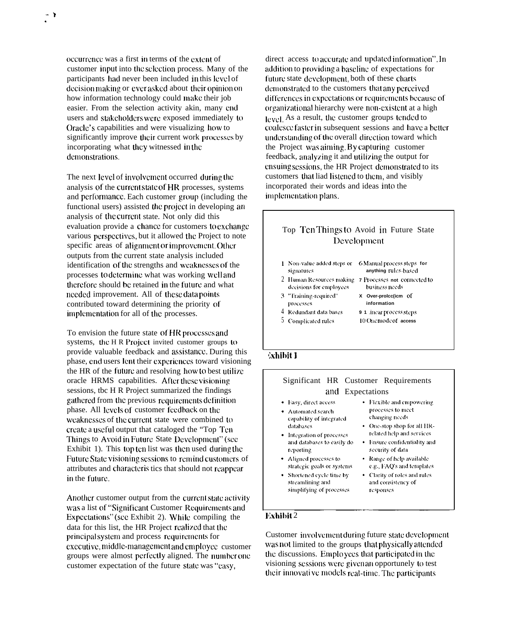occurrence was a first in terms of the extent of customer input into the selection process. Many of the participants had never been included in this level of decision making or ever asked about their opinion on how information technology could make their job easier. From the selection activity akin, many cnd users and stakeholders were exposed immediately to Oracle's capabilities and were visualizing how to significantly improve their current work processes by incorporating what they witnessed in the demonstrations.

-} .

> The next level of involvement occurred during the analysis of the current state of HR processes, systems and pcrfonnancc. Each customer group (including the functional users) assisted the project in developing an analysis of the currcru state. Not only did this evaluation provide a chance for customers to exchange various perspectives, but it allowed the Project to note specific areas of alignment or improvement. Other outputs from the current state analysis included identification of the strengths and weaknesses of the processes to dctcrminc what was working well and therefore should be retained in the future and what needed improvement. All of these data points contributed toward determining the priority of implementation for all of the processes.

> To envision the future state of HR processes and systems, the H R Project invited customer groups to provide valuable feedback and assistamcc. During this phase, end users lent their experiences toward visioning the HR of the future and resolving how to best utilize oracle HRMS capabilities. After these visioning sessions, tbc H R Project summarized the findings gathered from the previous requirements definition phase. All lcvcls of customer feedback on the weaknesses of the current state were combined to crcalc a useful output that cataloged the "Top Ter~ Things to Avoid in Future State Development" (see Exhibit 1). This top ten list was then used during the Future State visioning sessions to remind customers of attributes and characteris tics that should not reappear in the future.

> Another customer output from the current state activity was a list of "Significant Customer Requirements and Expectations" (see Exhibit 2). While compiling the data for this list, the HR Project realized that the principal system and process requirements for executive, middle-management and employee customer groups were almost perfectly aligned. The number one customer expectation of the future state was "casy,

direct access to accurate and updated information". In addition to providing a baseline of expectations for future state development, both of these charts demonstrated to the customers that any perceived differences in expectations or requirements because of organizational hierarchy were non-existent at a high level. As a result, the customer groups tended to coalesce faster in subsequent sessions and have a better understanding of the overall direction toward which the Project was aiming. By capturing customer feedback, analyzing it and utilizing the output for ensuing sessions, the HR Project dcmonstrated to its customers that liad listened to them, and visibly incorporated their words and ideas into the implementation plans.

#### Top Ten Things to Avoid in Future State I)evclopmcnt **1** Non-value added steps or 6 Manual process steps for signatures anything rules-based  $2$  Human Resources making **7** Processes not connected to decisions for employees **business** needs 3 "Training-required" **X Over-prolcc(icm of** processes **information** 4 Redundant data bases **9 1** *itear process steps* 5 Complicated rules **10 (hlc mode of access** khihit <sup>1</sup>

#### Significant HR Customer Requirements and Expectations · Easy, direct access • Flexible and empowering processes to meet · Automated search changing needs capability of integrated databases • One-stop shop for all HRrelated help and services. • Integration of processes and databases to easily do • Ensure confidentiality and reporting security of data • Aligned processes to · Range of help available e.g., FAQ's and templates strategic goals or systems • Shortened cycle time by • Clarity of roles and rules streamlining and and consistency of responses simplifying of processes

#### **Exhibit 2**

Customer involvement during future state development was not limited to the groups that physically attended the discussions. Employees that participated in the visioning sessions were given an opportunely to test their innovati ve models real-time. The participants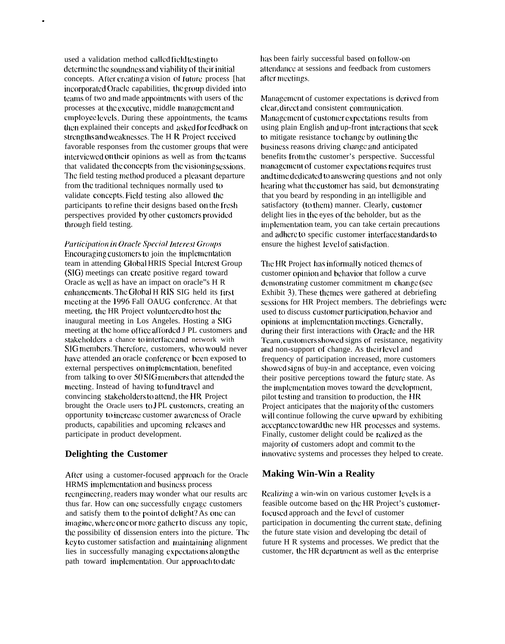used a validation method called field testing to determine the soundness and viability of their initial concepts. After creating a vision of future process [hat] incorporated Oracle capabilities, the group divided into teams of two and made appointments with users of the processes at the executive, middle management and employee levels. During these appointments, the teams then explained their concepts and asked for feedback on strengths and weaknesses. The H R Project received favorable responses from the customer groups that were interviewed on their opinions as well as from the teams that validated the concepts from the visioning sessions. The field testing method produced a pleasant departure from the traditional techniques normally used to validate concepts. Field testing also allowed the participants to refine their designs based on the fresh perspectives provided by other customers provided through field testing.

.

*Participation in Oracle Special Interest Groups* Encouraging customers to join the implementation team in attending Global HRIS Special Interest Group (SIG) meetings can create positive regard toward Oracle as well as have an impact on oracle"s H R enhancements. The Global H RIS SIG held its first meeting at the 1996 Fall OAUG conference. At that meeting, the HR Project voluntecred to host the inaugural meeting in Los Angeles. Hosting a SIG meeting at the home office afforded J PL customers and stakeholders a chance to interface and network with SIG members. Therefore, customers, who would never have attended an oracle conference or been exposed to external perspectives on implementation, benefited from talking to over 50 SIG members that attended the mcctiag. Instead of having to fund travel and convincing stakeholders to attend, the HR Project brought the Oracle users to JPL customers, creating an opportunity to increase customer awareness of Oracle products, capabilities and upcoming releases and participate in product development.

### **Delighting the Customer**

After using a customer-focused approach for the Oracle HRMS implementation and business process reenginecring, readers may wonder what our results arc thus far. How can one successfully engage customers and satisfy them to the point of delight? As one can imagine, where one or more gather to discuss any topic, the possibility of dissension enters into the picture. The key to customer satisfaction and maintaining alignment lies in successfully managing cxpcctaticms along the path toward implementation. Our approach to date

has been fairly successful based on follow-on attendance at sessions and feedback from customers after meetings.

Management of customer expectations is derived from clear, direct and consistent communication. Management of customer expectations results from using plain English and up-front interactions that seek to mitigate resistance to change by outlining the business reasons driving change and anticipated benefits from the customer's perspective. Successful management of customer expectations requires trust and time dedicated to answering questions and not only hearing what the customer has said, but demonstrating that you beard by responding in an intelligible and satisfactory (to them) manner. Clearly, customer delight lies in the eyes of the beholder, but as the implementation team, you can take certain precautions and adhere to specific customer interface standards to ensure the highest level of satisfaction.

The HR Project has informally noticed themes of customer opinion and behavior that follow a curve demonstrating customer commitment m change (see Exhibit 3). These themes were gathered at debriefing scssims for HR Project members. The debriefings were used to discuss customer participation, behavior and opinions at implementation meetings. Generally, during their first interactions with Oracle and the HR Team, customers showed signs of resistance, negativity and non-support of change. As their level and frequency of participation increased, more customers showed signs of buy-in and acceptance, even voicing their positive perceptions toward the future state. As the implementation moves toward the development, pilot testing and transition to production, the HR Project anticipates that the majority of the customers will continue following the curve upward by exhibiting acceptance toward the new HR processes and systems. Finally, customer delight could be realized as the majority of customers adopt and commit to the irmovative systems and processes they helped to create.

## **Making Win-Win a Reality**

Realizing a win-win on various customer levels is a feasible outcome based on the HR Project's customerfocusccl approach and the Icvcl of customer participation in documenting the current state, defining the future state vision and developing tbc detail of future H R systems and processes. We predict that the customer, the HR department as well as the enterprise